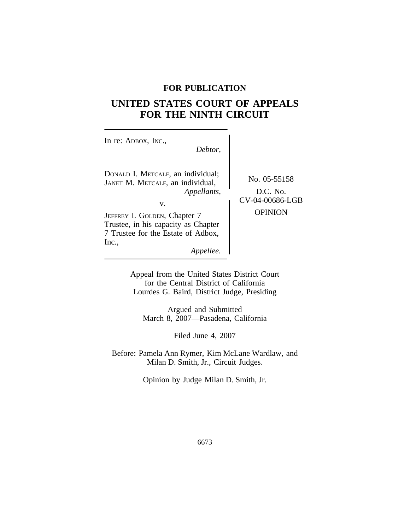# **FOR PUBLICATION**

# **UNITED STATES COURT OF APPEALS FOR THE NINTH CIRCUIT**

| In re: ADBOX, INC.,<br>Debtor,                                                                                                                                                                                                |                                                               |
|-------------------------------------------------------------------------------------------------------------------------------------------------------------------------------------------------------------------------------|---------------------------------------------------------------|
| DONALD I. METCALF, an individual;<br>JANET M. METCALF, an individual,<br>Appellants,<br>v.<br>JEFFREY I. GOLDEN, Chapter 7<br>Trustee, in his capacity as Chapter<br>7 Trustee for the Estate of Adbox,<br>Inc.,<br>Appellee. | No. 05-55158<br>D.C. No.<br>CV-04-00686-LGB<br><b>OPINION</b> |
|                                                                                                                                                                                                                               |                                                               |

Appeal from the United States District Court for the Central District of California Lourdes G. Baird, District Judge, Presiding

Argued and Submitted March 8, 2007—Pasadena, California

Filed June 4, 2007

Before: Pamela Ann Rymer, Kim McLane Wardlaw, and Milan D. Smith, Jr., Circuit Judges.

Opinion by Judge Milan D. Smith, Jr.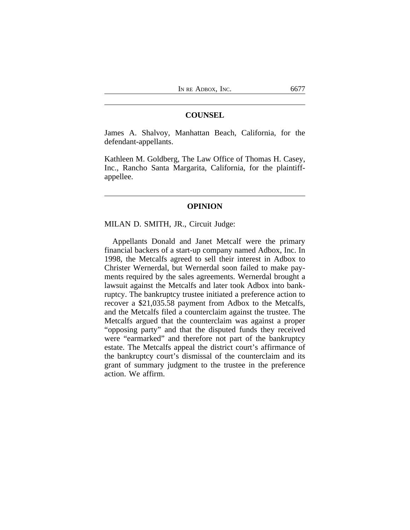# **COUNSEL**

James A. Shalvoy, Manhattan Beach, California, for the defendant-appellants.

Kathleen M. Goldberg, The Law Office of Thomas H. Casey, Inc., Rancho Santa Margarita, California, for the plaintiffappellee.

# **OPINION**

## MILAN D. SMITH, JR., Circuit Judge:

Appellants Donald and Janet Metcalf were the primary financial backers of a start-up company named Adbox, Inc. In 1998, the Metcalfs agreed to sell their interest in Adbox to Christer Wernerdal, but Wernerdal soon failed to make payments required by the sales agreements. Wernerdal brought a lawsuit against the Metcalfs and later took Adbox into bankruptcy. The bankruptcy trustee initiated a preference action to recover a \$21,035.58 payment from Adbox to the Metcalfs, and the Metcalfs filed a counterclaim against the trustee. The Metcalfs argued that the counterclaim was against a proper "opposing party" and that the disputed funds they received were "earmarked" and therefore not part of the bankruptcy estate. The Metcalfs appeal the district court's affirmance of the bankruptcy court's dismissal of the counterclaim and its grant of summary judgment to the trustee in the preference action. We affirm.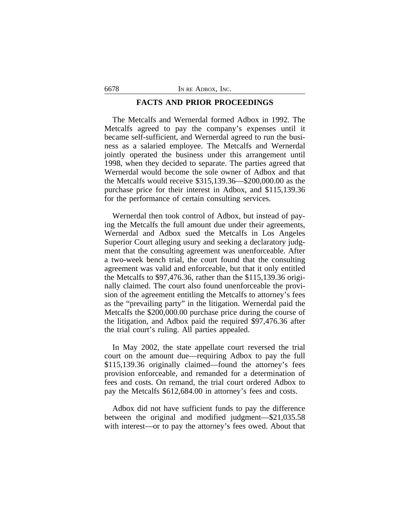## **FACTS AND PRIOR PROCEEDINGS**

The Metcalfs and Wernerdal formed Adbox in 1992. The Metcalfs agreed to pay the company's expenses until it became self-sufficient, and Wernerdal agreed to run the business as a salaried employee. The Metcalfs and Wernerdal jointly operated the business under this arrangement until 1998, when they decided to separate. The parties agreed that Wernerdal would become the sole owner of Adbox and that the Metcalfs would receive \$315,139.36—\$200,000.00 as the purchase price for their interest in Adbox, and \$115,139.36 for the performance of certain consulting services.

Wernerdal then took control of Adbox, but instead of paying the Metcalfs the full amount due under their agreements, Wernerdal and Adbox sued the Metcalfs in Los Angeles Superior Court alleging usury and seeking a declaratory judgment that the consulting agreement was unenforceable. After a two-week bench trial, the court found that the consulting agreement was valid and enforceable, but that it only entitled the Metcalfs to \$97,476.36, rather than the \$115,139.36 originally claimed. The court also found unenforceable the provision of the agreement entitling the Metcalfs to attorney's fees as the "prevailing party" in the litigation. Wernerdal paid the Metcalfs the \$200,000.00 purchase price during the course of the litigation, and Adbox paid the required \$97,476.36 after the trial court's ruling. All parties appealed.

In May 2002, the state appellate court reversed the trial court on the amount due—requiring Adbox to pay the full \$115,139.36 originally claimed—found the attorney's fees provision enforceable, and remanded for a determination of fees and costs. On remand, the trial court ordered Adbox to pay the Metcalfs \$612,684.00 in attorney's fees and costs.

Adbox did not have sufficient funds to pay the difference between the original and modified judgment—\$21,035.58 with interest—or to pay the attorney's fees owed. About that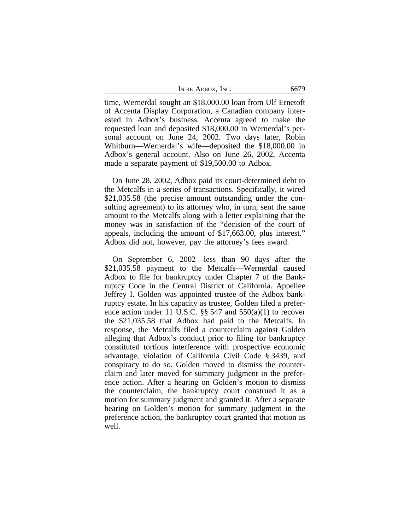| IN RE ADBOX, INC. | 6679 |
|-------------------|------|
|-------------------|------|

time, Wernerdal sought an \$18,000.00 loan from Ulf Ernetoft of Accenta Display Corporation, a Canadian company interested in Adbox's business. Accenta agreed to make the requested loan and deposited \$18,000.00 in Wernerdal's personal account on June 24, 2002. Two days later, Robin Whitburn—Wernerdal's wife—deposited the \$18,000.00 in Adbox's general account. Also on June 26, 2002, Accenta made a separate payment of \$19,500.00 to Adbox.

On June 28, 2002, Adbox paid its court-determined debt to the Metcalfs in a series of transactions. Specifically, it wired \$21,035.58 (the precise amount outstanding under the consulting agreement) to its attorney who, in turn, sent the same amount to the Metcalfs along with a letter explaining that the money was in satisfaction of the "decision of the court of appeals, including the amount of \$17,663.00, plus interest." Adbox did not, however, pay the attorney's fees award.

On September 6, 2002—less than 90 days after the \$21,035.58 payment to the Metcalfs—Wernerdal caused Adbox to file for bankruptcy under Chapter 7 of the Bankruptcy Code in the Central District of California. Appellee Jeffrey I. Golden was appointed trustee of the Adbox bankruptcy estate. In his capacity as trustee, Golden filed a preference action under 11 U.S.C. §§ 547 and 550(a)(1) to recover the \$21,035.58 that Adbox had paid to the Metcalfs. In response, the Metcalfs filed a counterclaim against Golden alleging that Adbox's conduct prior to filing for bankruptcy constituted tortious interference with prospective economic advantage, violation of California Civil Code § 3439, and conspiracy to do so. Golden moved to dismiss the counterclaim and later moved for summary judgment in the preference action. After a hearing on Golden's motion to dismiss the counterclaim, the bankruptcy court construed it as a motion for summary judgment and granted it. After a separate hearing on Golden's motion for summary judgment in the preference action, the bankruptcy court granted that motion as well.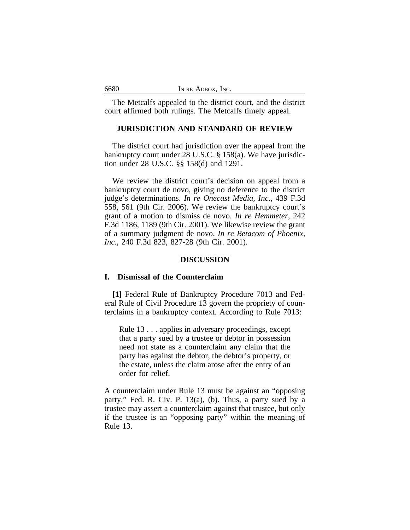The Metcalfs appealed to the district court, and the district court affirmed both rulings. The Metcalfs timely appeal.

# **JURISDICTION AND STANDARD OF REVIEW**

The district court had jurisdiction over the appeal from the bankruptcy court under 28 U.S.C. § 158(a). We have jurisdiction under 28 U.S.C. §§ 158(d) and 1291.

We review the district court's decision on appeal from a bankruptcy court de novo, giving no deference to the district judge's determinations. *In re Onecast Media, Inc.*, 439 F.3d 558, 561 (9th Cir. 2006). We review the bankruptcy court's grant of a motion to dismiss de novo. *In re Hemmeter*, 242 F.3d 1186, 1189 (9th Cir. 2001). We likewise review the grant of a summary judgment de novo. *In re Betacom of Phoenix, Inc.*, 240 F.3d 823, 827-28 (9th Cir. 2001).

## **DISCUSSION**

# **I. Dismissal of the Counterclaim**

**[1]** Federal Rule of Bankruptcy Procedure 7013 and Federal Rule of Civil Procedure 13 govern the propriety of counterclaims in a bankruptcy context. According to Rule 7013:

Rule 13 . . . applies in adversary proceedings, except that a party sued by a trustee or debtor in possession need not state as a counterclaim any claim that the party has against the debtor, the debtor's property, or the estate, unless the claim arose after the entry of an order for relief.

A counterclaim under Rule 13 must be against an "opposing party." Fed. R. Civ. P. 13(a), (b). Thus, a party sued by a trustee may assert a counterclaim against that trustee, but only if the trustee is an "opposing party" within the meaning of Rule 13.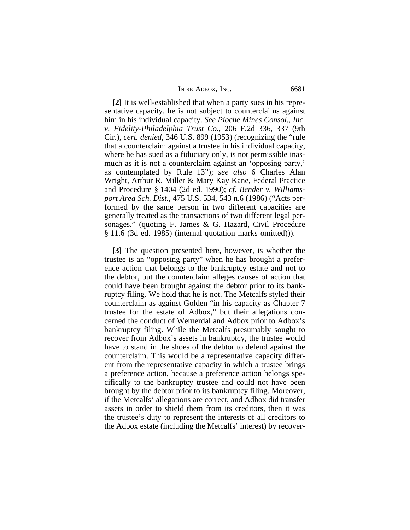IN RE ADBOX, INC. 6681

**[2]** It is well-established that when a party sues in his representative capacity, he is not subject to counterclaims against him in his individual capacity. *See Pioche Mines Consol., Inc. v. Fidelity-Philadelphia Trust Co.*, 206 F.2d 336, 337 (9th Cir.), *cert. denied*, 346 U.S. 899 (1953) (recognizing the "rule that a counterclaim against a trustee in his individual capacity, where he has sued as a fiduciary only, is not permissible inasmuch as it is not a counterclaim against an 'opposing party,' as contemplated by Rule 13"); *see also* 6 Charles Alan Wright, Arthur R. Miller & Mary Kay Kane, Federal Practice and Procedure § 1404 (2d ed. 1990); *cf. Bender v. Williamsport Area Sch. Dist.*, 475 U.S. 534, 543 n.6 (1986) ("Acts performed by the same person in two different capacities are generally treated as the transactions of two different legal personages." (quoting F. James & G. Hazard, Civil Procedure § 11.6 (3d ed. 1985) (internal quotation marks omitted))).

**[3]** The question presented here, however, is whether the trustee is an "opposing party" when he has brought a preference action that belongs to the bankruptcy estate and not to the debtor, but the counterclaim alleges causes of action that could have been brought against the debtor prior to its bankruptcy filing. We hold that he is not. The Metcalfs styled their counterclaim as against Golden "in his capacity as Chapter 7 trustee for the estate of Adbox," but their allegations concerned the conduct of Wernerdal and Adbox prior to Adbox's bankruptcy filing. While the Metcalfs presumably sought to recover from Adbox's assets in bankruptcy, the trustee would have to stand in the shoes of the debtor to defend against the counterclaim. This would be a representative capacity different from the representative capacity in which a trustee brings a preference action, because a preference action belongs specifically to the bankruptcy trustee and could not have been brought by the debtor prior to its bankruptcy filing. Moreover, if the Metcalfs' allegations are correct, and Adbox did transfer assets in order to shield them from its creditors, then it was the trustee's duty to represent the interests of all creditors to the Adbox estate (including the Metcalfs' interest) by recover-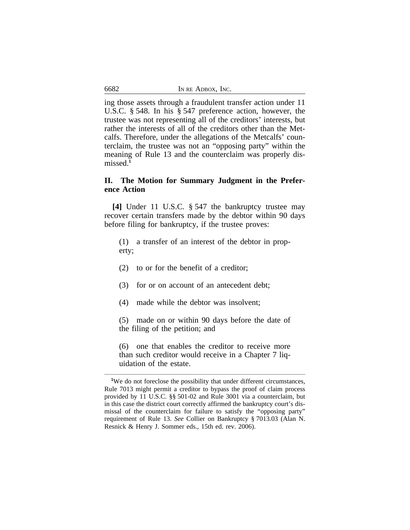| 6682 | IN RE ADBOX. INC. |
|------|-------------------|
|------|-------------------|

ing those assets through a fraudulent transfer action under 11 U.S.C. § 548. In his § 547 preference action, however, the trustee was not representing all of the creditors' interests, but rather the interests of all of the creditors other than the Metcalfs. Therefore, under the allegations of the Metcalfs' counterclaim, the trustee was not an "opposing party" within the meaning of Rule 13 and the counterclaim was properly dismissed.**<sup>1</sup>**

# **II. The Motion for Summary Judgment in the Preference Action**

**[4]** Under 11 U.S.C. § 547 the bankruptcy trustee may recover certain transfers made by the debtor within 90 days before filing for bankruptcy, if the trustee proves:

- (1) a transfer of an interest of the debtor in property;
- (2) to or for the benefit of a creditor;
- (3) for or on account of an antecedent debt;
- (4) made while the debtor was insolvent;
- (5) made on or within 90 days before the date of the filing of the petition; and

(6) one that enables the creditor to receive more than such creditor would receive in a Chapter 7 liquidation of the estate.

<sup>&</sup>lt;sup>1</sup>We do not foreclose the possibility that under different circumstances, Rule 7013 might permit a creditor to bypass the proof of claim process provided by 11 U.S.C. §§ 501-02 and Rule 3001 via a counterclaim, but in this case the district court correctly affirmed the bankruptcy court's dismissal of the counterclaim for failure to satisfy the "opposing party" requirement of Rule 13. *See* Collier on Bankruptcy § 7013.03 (Alan N. Resnick & Henry J. Sommer eds., 15th ed. rev. 2006).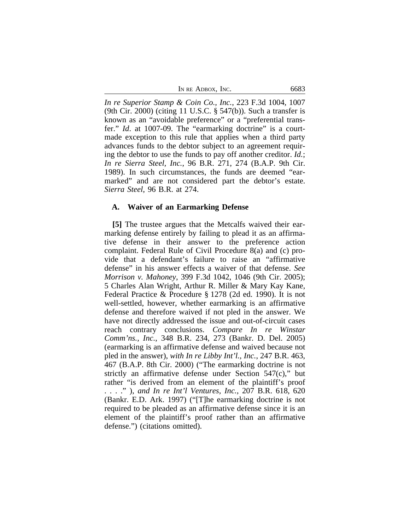| IN RE ADBOX, INC. | 6683 |
|-------------------|------|
|-------------------|------|

*In re Superior Stamp & Coin Co., Inc.*, 223 F.3d 1004, 1007 (9th Cir. 2000) (citing 11 U.S.C. § 547(b)). Such a transfer is known as an "avoidable preference" or a "preferential transfer." *Id.* at 1007-09. The "earmarking doctrine" is a courtmade exception to this rule that applies when a third party advances funds to the debtor subject to an agreement requiring the debtor to use the funds to pay off another creditor. *Id.*; *In re Sierra Steel, Inc.*, 96 B.R. 271, 274 (B.A.P. 9th Cir. 1989). In such circumstances, the funds are deemed "earmarked" and are not considered part the debtor's estate. *Sierra Steel*, 96 B.R. at 274.

# **A. Waiver of an Earmarking Defense**

**[5]** The trustee argues that the Metcalfs waived their earmarking defense entirely by failing to plead it as an affirmative defense in their answer to the preference action complaint. Federal Rule of Civil Procedure 8(a) and (c) provide that a defendant's failure to raise an "affirmative defense" in his answer effects a waiver of that defense. *See Morrison v. Mahoney*, 399 F.3d 1042, 1046 (9th Cir. 2005); 5 Charles Alan Wright, Arthur R. Miller & Mary Kay Kane, Federal Practice & Procedure § 1278 (2d ed. 1990). It is not well-settled, however, whether earmarking is an affirmative defense and therefore waived if not pled in the answer. We have not directly addressed the issue and out-of-circuit cases reach contrary conclusions. *Compare In re Winstar Comm'ns., Inc.*, 348 B.R. 234, 273 (Bankr. D. Del. 2005) (earmarking is an affirmative defense and waived because not pled in the answer), *with In re Libby Int'l., Inc.*, 247 B.R. 463, 467 (B.A.P. 8th Cir. 2000) ("The earmarking doctrine is not strictly an affirmative defense under Section 547(c)," but rather "is derived from an element of the plaintiff's proof . . . ." ), *and In re Int'l Ventures, Inc.*, 207 B.R. 618, 620 (Bankr. E.D. Ark. 1997) ("[T]he earmarking doctrine is not required to be pleaded as an affirmative defense since it is an element of the plaintiff's proof rather than an affirmative defense.") (citations omitted).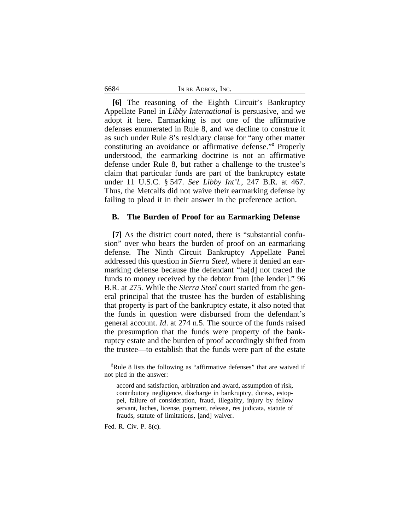| IN RE ADBOX, INC. |  |
|-------------------|--|
|                   |  |

**[6]** The reasoning of the Eighth Circuit's Bankruptcy Appellate Panel in *Libby International* is persuasive, and we adopt it here. Earmarking is not one of the affirmative defenses enumerated in Rule 8, and we decline to construe it as such under Rule 8's residuary clause for "any other matter constituting an avoidance or affirmative defense."<sup>2</sup> Properly understood, the earmarking doctrine is not an affirmative defense under Rule 8, but rather a challenge to the trustee's claim that particular funds are part of the bankruptcy estate under 11 U.S.C. § 547. *See Libby Int'l.*, 247 B.R. at 467. Thus, the Metcalfs did not waive their earmarking defense by failing to plead it in their answer in the preference action.

#### **B. The Burden of Proof for an Earmarking Defense**

**[7]** As the district court noted, there is "substantial confusion" over who bears the burden of proof on an earmarking defense. The Ninth Circuit Bankruptcy Appellate Panel addressed this question in *Sierra Steel*, where it denied an earmarking defense because the defendant "ha[d] not traced the funds to money received by the debtor from [the lender]." 96 B.R. at 275. While the *Sierra Steel* court started from the general principal that the trustee has the burden of establishing that property is part of the bankruptcy estate, it also noted that the funds in question were disbursed from the defendant's general account. *Id*. at 274 n.5. The source of the funds raised the presumption that the funds were property of the bankruptcy estate and the burden of proof accordingly shifted from the trustee—to establish that the funds were part of the estate

Fed. R. Civ. P. 8(c).

6684

<sup>&</sup>lt;sup>2</sup>Rule 8 lists the following as "affirmative defenses" that are waived if not pled in the answer:

accord and satisfaction, arbitration and award, assumption of risk, contributory negligence, discharge in bankruptcy, duress, estoppel, failure of consideration, fraud, illegality, injury by fellow servant, laches, license, payment, release, res judicata, statute of frauds, statute of limitations, [and] waiver.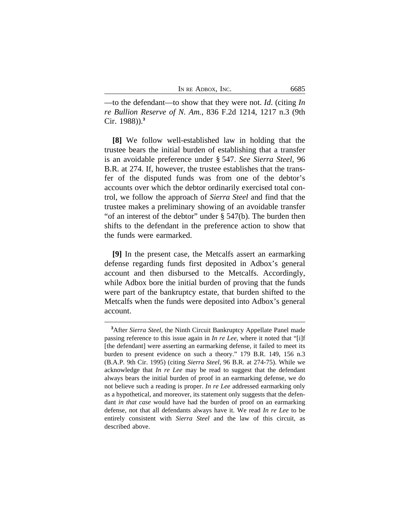| IN RE ADBOX, INC. | 6685 |
|-------------------|------|
|-------------------|------|

—to the defendant—to show that they were not. *Id*. (citing *In re Bullion Reserve of N. Am.*, 836 F.2d 1214, 1217 n.3 (9th Cir. 1988)).**<sup>3</sup>**

**[8]** We follow well-established law in holding that the trustee bears the initial burden of establishing that a transfer is an avoidable preference under § 547. *See Sierra Steel*, 96 B.R. at 274. If, however, the trustee establishes that the transfer of the disputed funds was from one of the debtor's accounts over which the debtor ordinarily exercised total control, we follow the approach of *Sierra Steel* and find that the trustee makes a preliminary showing of an avoidable transfer "of an interest of the debtor" under § 547(b). The burden then shifts to the defendant in the preference action to show that the funds were earmarked.

**[9]** In the present case, the Metcalfs assert an earmarking defense regarding funds first deposited in Adbox's general account and then disbursed to the Metcalfs. Accordingly, while Adbox bore the initial burden of proving that the funds were part of the bankruptcy estate, that burden shifted to the Metcalfs when the funds were deposited into Adbox's general account.

**<sup>3</sup>**After *Sierra Steel*, the Ninth Circuit Bankruptcy Appellate Panel made passing reference to this issue again in *In re Lee*, where it noted that "[i]f [the defendant] were asserting an earmarking defense, it failed to meet its burden to present evidence on such a theory." 179 B.R. 149, 156 n.3 (B.A.P. 9th Cir. 1995) (citing *Sierra Steel*, 96 B.R. at 274-75). While we acknowledge that *In re Lee* may be read to suggest that the defendant always bears the initial burden of proof in an earmarking defense, we do not believe such a reading is proper. *In re Lee* addressed earmarking only as a hypothetical, and moreover, its statement only suggests that the defendant *in that case* would have had the burden of proof on an earmarking defense, not that all defendants always have it. We read *In re Lee* to be entirely consistent with *Sierra Steel* and the law of this circuit, as described above.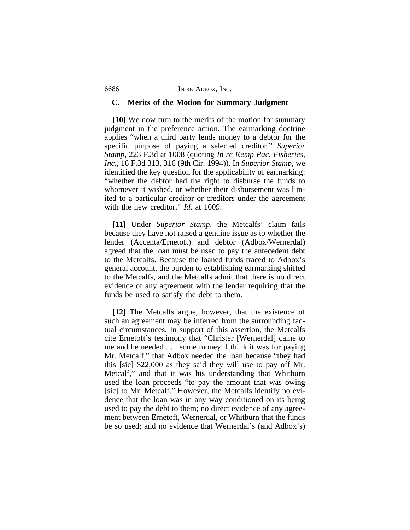#### **C. Merits of the Motion for Summary Judgment**

**[10]** We now turn to the merits of the motion for summary judgment in the preference action. The earmarking doctrine applies "when a third party lends money to a debtor for the specific purpose of paying a selected creditor." *Superior Stamp*, 223 F.3d at 1008 (quoting *In re Kemp Pac. Fisheries, Inc.*, 16 F.3d 313, 316 (9th Cir. 1994)). In *Superior Stamp*, we identified the key question for the applicability of earmarking: "whether the debtor had the right to disburse the funds to whomever it wished, or whether their disbursement was limited to a particular creditor or creditors under the agreement with the new creditor." *Id*. at 1009.

**[11]** Under *Superior Stamp*, the Metcalfs' claim fails because they have not raised a genuine issue as to whether the lender (Accenta/Ernetoft) and debtor (Adbox/Wernerdal) agreed that the loan must be used to pay the antecedent debt to the Metcalfs. Because the loaned funds traced to Adbox's general account, the burden to establishing earmarking shifted to the Metcalfs, and the Metcalfs admit that there is no direct evidence of any agreement with the lender requiring that the funds be used to satisfy the debt to them.

**[12]** The Metcalfs argue, however, that the existence of such an agreement may be inferred from the surrounding factual circumstances. In support of this assertion, the Metcalfs cite Ernetoft's testimony that "Christer [Wernerdal] came to me and he needed . . . some money. I think it was for paying Mr. Metcalf," that Adbox needed the loan because "they had this [sic] \$22,000 as they said they will use to pay off Mr. Metcalf," and that it was his understanding that Whitburn used the loan proceeds "to pay the amount that was owing [sic] to Mr. Metcalf." However, the Metcalfs identify no evidence that the loan was in any way conditioned on its being used to pay the debt to them; no direct evidence of any agreement between Ernetoft, Wernerdal, or Whitburn that the funds be so used; and no evidence that Wernerdal's (and Adbox's)